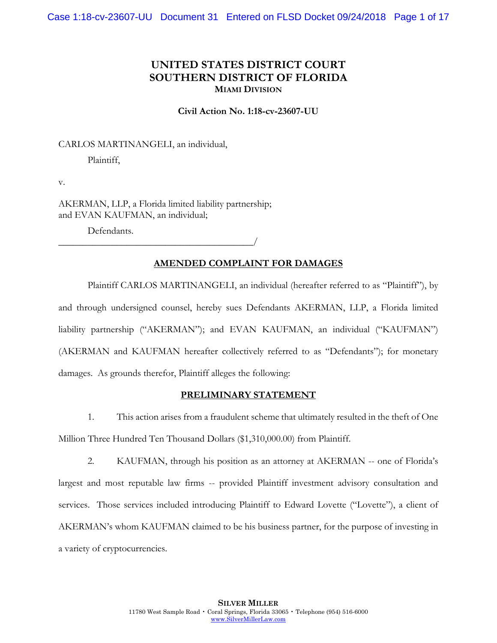# **UNITED STATES DISTRICT COURT SOUTHERN DISTRICT OF FLORIDA MIAMI DIVISION**

**Civil Action No. 1:18-cv-23607-UU**

CARLOS MARTINANGELI, an individual,

Plaintiff,

v.

AKERMAN, LLP, a Florida limited liability partnership; and EVAN KAUFMAN, an individual;

\_\_\_\_\_\_\_\_\_\_\_\_\_\_\_\_\_\_\_\_\_\_\_\_\_\_\_\_\_\_\_\_\_\_\_\_\_\_\_\_/

Defendants.

# **AMENDED COMPLAINT FOR DAMAGES**

Plaintiff CARLOS MARTINANGELI, an individual (hereafter referred to as "Plaintiff"), by and through undersigned counsel, hereby sues Defendants AKERMAN, LLP, a Florida limited liability partnership ("AKERMAN"); and EVAN KAUFMAN, an individual ("KAUFMAN") (AKERMAN and KAUFMAN hereafter collectively referred to as "Defendants"); for monetary damages. As grounds therefor, Plaintiff alleges the following:

### **PRELIMINARY STATEMENT**

1. This action arises from a fraudulent scheme that ultimately resulted in the theft of One Million Three Hundred Ten Thousand Dollars (\$1,310,000.00) from Plaintiff.

2. KAUFMAN, through his position as an attorney at AKERMAN -- one of Florida's largest and most reputable law firms -- provided Plaintiff investment advisory consultation and services. Those services included introducing Plaintiff to Edward Lovette ("Lovette"), a client of AKERMAN's whom KAUFMAN claimed to be his business partner, for the purpose of investing in a variety of cryptocurrencies.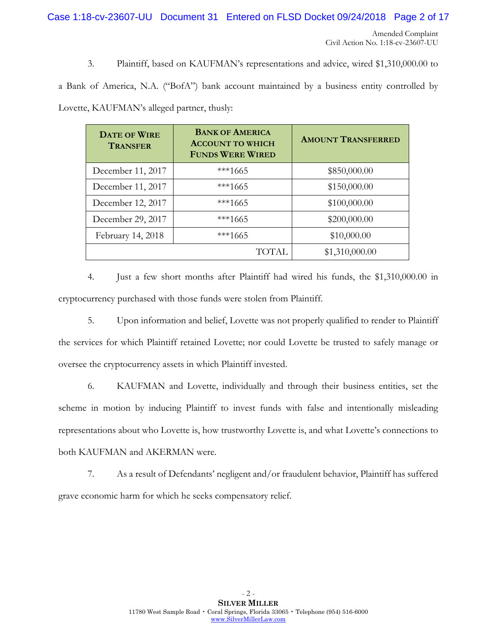Case 1:18-cv-23607-UU Document 31 Entered on FLSD Docket 09/24/2018 Page 2 of 17

3. Plaintiff, based on KAUFMAN's representations and advice, wired \$1,310,000.00 to

a Bank of America, N.A. ("BofA") bank account maintained by a business entity controlled by Lovette, KAUFMAN's alleged partner, thusly:

| <b>DATE OF WIRE</b><br><b>TRANSFER</b> | <b>BANK OF AMERICA</b><br><b>ACCOUNT TO WHICH</b><br><b>FUNDS WERE WIRED</b> | <b>AMOUNT TRANSFERRED</b> |
|----------------------------------------|------------------------------------------------------------------------------|---------------------------|
| December 11, 2017                      | $***1665$                                                                    | \$850,000.00              |
| December 11, 2017                      | $***1665$                                                                    | \$150,000.00              |
| December 12, 2017                      | ***1665                                                                      | \$100,000.00              |
| December 29, 2017                      | $***1665$                                                                    | \$200,000.00              |
| February 14, 2018                      | ***1665                                                                      | \$10,000.00               |
|                                        | TOTAL.                                                                       | \$1,310,000.00            |

4. Just a few short months after Plaintiff had wired his funds, the \$1,310,000.00 in cryptocurrency purchased with those funds were stolen from Plaintiff.

5. Upon information and belief, Lovette was not properly qualified to render to Plaintiff the services for which Plaintiff retained Lovette; nor could Lovette be trusted to safely manage or oversee the cryptocurrency assets in which Plaintiff invested.

6. KAUFMAN and Lovette, individually and through their business entities, set the scheme in motion by inducing Plaintiff to invest funds with false and intentionally misleading representations about who Lovette is, how trustworthy Lovette is, and what Lovette's connections to both KAUFMAN and AKERMAN were.

7. As a result of Defendants' negligent and/or fraudulent behavior, Plaintiff has suffered grave economic harm for which he seeks compensatory relief.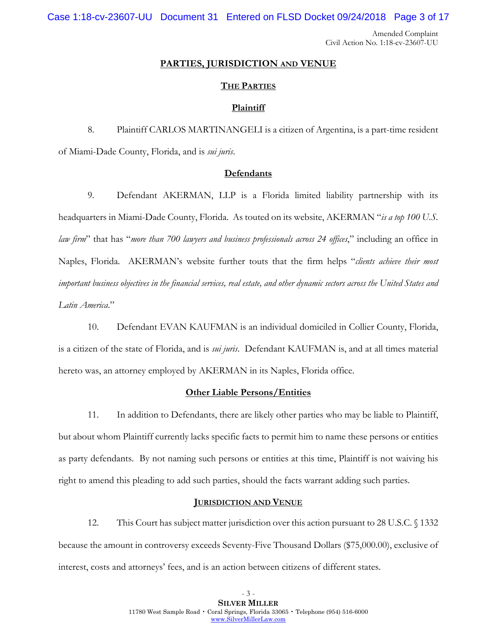Case 1:18-cv-23607-UU Document 31 Entered on FLSD Docket 09/24/2018 Page 3 of 17

Amended Complaint Civil Action No. 1:18-cv-23607-UU

#### **PARTIES, JURISDICTION AND VENUE**

### **THE PARTIES**

#### **Plaintiff**

8. Plaintiff CARLOS MARTINANGELI is a citizen of Argentina, is a part-time resident of Miami-Dade County, Florida, and is *sui juris*.

### **Defendants**

9. Defendant AKERMAN, LLP is a Florida limited liability partnership with its headquarters in Miami-Dade County, Florida. As touted on its website, AKERMAN "*is a top 100 U.S. law firm*" that has "*more than 700 lawyers and business professionals across 24 offices*," including an office in Naples, Florida. AKERMAN's website further touts that the firm helps "*clients achieve their most important business objectives in the financial services, real estate, and other dynamic sectors across the United States and Latin America*."

10. Defendant EVAN KAUFMAN is an individual domiciled in Collier County, Florida, is a citizen of the state of Florida, and is *sui juris*. Defendant KAUFMAN is, and at all times material hereto was, an attorney employed by AKERMAN in its Naples, Florida office.

### **Other Liable Persons/Entities**

11. In addition to Defendants, there are likely other parties who may be liable to Plaintiff, but about whom Plaintiff currently lacks specific facts to permit him to name these persons or entities as party defendants. By not naming such persons or entities at this time, Plaintiff is not waiving his right to amend this pleading to add such parties, should the facts warrant adding such parties.

### **JURISDICTION AND VENUE**

12. This Court has subject matter jurisdiction over this action pursuant to 28 U.S.C. § 1332 because the amount in controversy exceeds Seventy-Five Thousand Dollars (\$75,000.00), exclusive of interest, costs and attorneys' fees, and is an action between citizens of different states.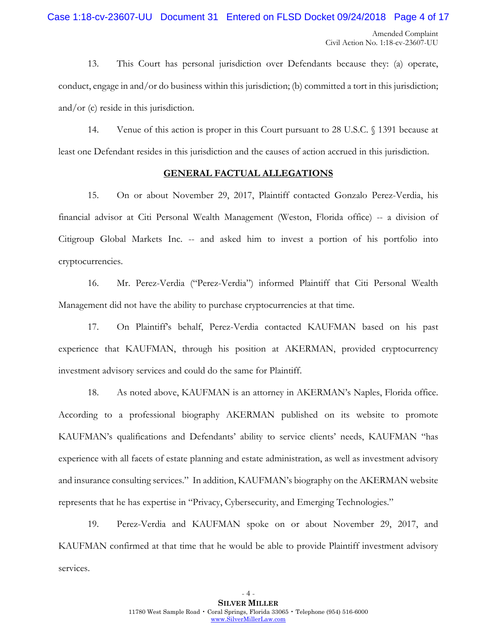13. This Court has personal jurisdiction over Defendants because they: (a) operate, conduct, engage in and/or do business within this jurisdiction; (b) committed a tort in this jurisdiction; and/or (c) reside in this jurisdiction.

14. Venue of this action is proper in this Court pursuant to 28 U.S.C. § 1391 because at least one Defendant resides in this jurisdiction and the causes of action accrued in this jurisdiction.

### **GENERAL FACTUAL ALLEGATIONS**

15. On or about November 29, 2017, Plaintiff contacted Gonzalo Perez-Verdia, his financial advisor at Citi Personal Wealth Management (Weston, Florida office) -- a division of Citigroup Global Markets Inc. -- and asked him to invest a portion of his portfolio into cryptocurrencies.

16. Mr. Perez-Verdia ("Perez-Verdia") informed Plaintiff that Citi Personal Wealth Management did not have the ability to purchase cryptocurrencies at that time.

17. On Plaintiff's behalf, Perez-Verdia contacted KAUFMAN based on his past experience that KAUFMAN, through his position at AKERMAN, provided cryptocurrency investment advisory services and could do the same for Plaintiff.

18. As noted above, KAUFMAN is an attorney in AKERMAN's Naples, Florida office. According to a professional biography AKERMAN published on its website to promote KAUFMAN's qualifications and Defendants' ability to service clients' needs, KAUFMAN "has experience with all facets of estate planning and estate administration, as well as investment advisory and insurance consulting services." In addition, KAUFMAN's biography on the AKERMAN website represents that he has expertise in "Privacy, Cybersecurity, and Emerging Technologies."

19. Perez-Verdia and KAUFMAN spoke on or about November 29, 2017, and KAUFMAN confirmed at that time that he would be able to provide Plaintiff investment advisory services.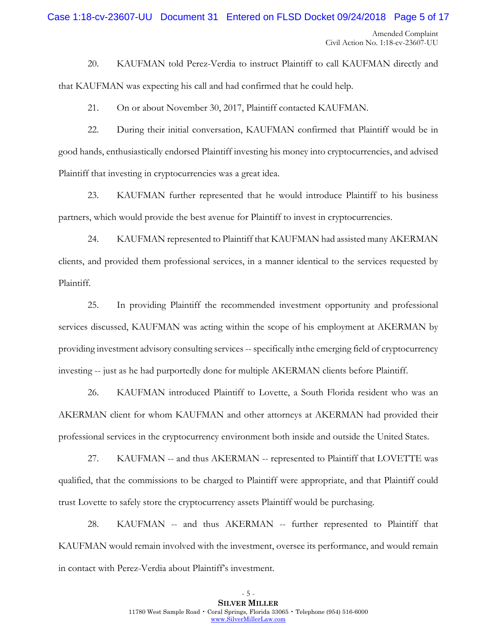# Amended Complaint Civil Action No. 1:18-cv-23607-UU Case 1:18-cv-23607-UU Document 31 Entered on FLSD Docket 09/24/2018 Page 5 of 17

20. KAUFMAN told Perez-Verdia to instruct Plaintiff to call KAUFMAN directly and that KAUFMAN was expecting his call and had confirmed that he could help.

21. On or about November 30, 2017, Plaintiff contacted KAUFMAN.

22. During their initial conversation, KAUFMAN confirmed that Plaintiff would be in good hands, enthusiastically endorsed Plaintiff investing his money into cryptocurrencies, and advised Plaintiff that investing in cryptocurrencies was a great idea.

23. KAUFMAN further represented that he would introduce Plaintiff to his business partners, which would provide the best avenue for Plaintiff to invest in cryptocurrencies.

24. KAUFMAN represented to Plaintiff that KAUFMAN had assisted many AKERMAN clients, and provided them professional services, in a manner identical to the services requested by Plaintiff.

25. In providing Plaintiff the recommended investment opportunity and professional services discussed, KAUFMAN was acting within the scope of his employment at AKERMAN by providing investment advisory consulting services -- specifically in the emerging field of cryptocurrency investing -- just as he had purportedly done for multiple AKERMAN clients before Plaintiff.

26. KAUFMAN introduced Plaintiff to Lovette, a South Florida resident who was an AKERMAN client for whom KAUFMAN and other attorneys at AKERMAN had provided their professional services in the cryptocurrency environment both inside and outside the United States.

27. KAUFMAN -- and thus AKERMAN -- represented to Plaintiff that LOVETTE was qualified, that the commissions to be charged to Plaintiff were appropriate, and that Plaintiff could trust Lovette to safely store the cryptocurrency assets Plaintiff would be purchasing.

28. KAUFMAN -- and thus AKERMAN -- further represented to Plaintiff that KAUFMAN would remain involved with the investment, oversee its performance, and would remain in contact with Perez-Verdia about Plaintiff's investment.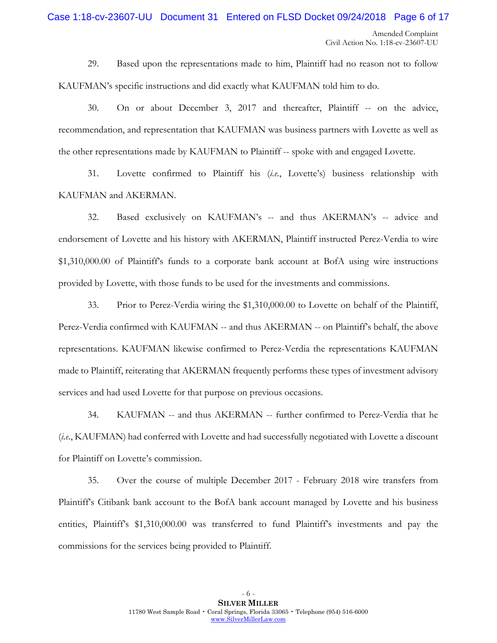# Amended Complaint Case 1:18-cv-23607-UU Document 31 Entered on FLSD Docket 09/24/2018 Page 6 of 17

Civil Action No. 1:18-cv-23607-UU

29. Based upon the representations made to him, Plaintiff had no reason not to follow KAUFMAN's specific instructions and did exactly what KAUFMAN told him to do.

30. On or about December 3, 2017 and thereafter, Plaintiff -- on the advice, recommendation, and representation that KAUFMAN was business partners with Lovette as well as the other representations made by KAUFMAN to Plaintiff -- spoke with and engaged Lovette.

31. Lovette confirmed to Plaintiff his (*i.e.*, Lovette's) business relationship with KAUFMAN and AKERMAN.

32. Based exclusively on KAUFMAN's -- and thus AKERMAN's -- advice and endorsement of Lovette and his history with AKERMAN, Plaintiff instructed Perez-Verdia to wire \$1,310,000.00 of Plaintiff's funds to a corporate bank account at BofA using wire instructions provided by Lovette, with those funds to be used for the investments and commissions.

33. Prior to Perez-Verdia wiring the \$1,310,000.00 to Lovette on behalf of the Plaintiff, Perez-Verdia confirmed with KAUFMAN -- and thus AKERMAN -- on Plaintiff's behalf, the above representations. KAUFMAN likewise confirmed to Perez-Verdia the representations KAUFMAN made to Plaintiff, reiterating that AKERMAN frequently performs these types of investment advisory services and had used Lovette for that purpose on previous occasions.

34. KAUFMAN -- and thus AKERMAN -- further confirmed to Perez-Verdia that he (*i.e.*, KAUFMAN) had conferred with Lovette and had successfully negotiated with Lovette a discount for Plaintiff on Lovette's commission.

35. Over the course of multiple December 2017 - February 2018 wire transfers from Plaintiff's Citibank bank account to the BofA bank account managed by Lovette and his business entities, Plaintiff's \$1,310,000.00 was transferred to fund Plaintiff's investments and pay the commissions for the services being provided to Plaintiff.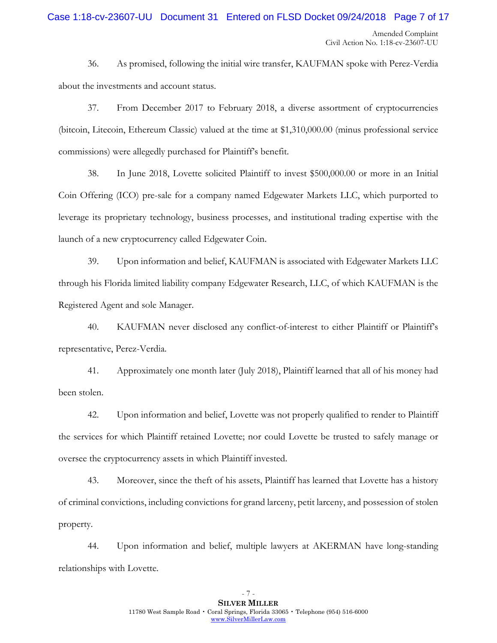# Case 1:18-cv-23607-UU Document 31 Entered on FLSD Docket 09/24/2018 Page 7 of 17

36. As promised, following the initial wire transfer, KAUFMAN spoke with Perez-Verdia about the investments and account status.

37. From December 2017 to February 2018, a diverse assortment of cryptocurrencies (bitcoin, Litecoin, Ethereum Classic) valued at the time at \$1,310,000.00 (minus professional service commissions) were allegedly purchased for Plaintiff's benefit.

38. In June 2018, Lovette solicited Plaintiff to invest \$500,000.00 or more in an Initial Coin Offering (ICO) pre-sale for a company named Edgewater Markets LLC, which purported to leverage its proprietary technology, business processes, and institutional trading expertise with the launch of a new cryptocurrency called Edgewater Coin.

39. Upon information and belief, KAUFMAN is associated with Edgewater Markets LLC through his Florida limited liability company Edgewater Research, LLC, of which KAUFMAN is the Registered Agent and sole Manager.

40. KAUFMAN never disclosed any conflict-of-interest to either Plaintiff or Plaintiff's representative, Perez-Verdia.

41. Approximately one month later (July 2018), Plaintiff learned that all of his money had been stolen.

42. Upon information and belief, Lovette was not properly qualified to render to Plaintiff the services for which Plaintiff retained Lovette; nor could Lovette be trusted to safely manage or oversee the cryptocurrency assets in which Plaintiff invested.

43. Moreover, since the theft of his assets, Plaintiff has learned that Lovette has a history of criminal convictions, including convictions for grand larceny, petit larceny, and possession of stolen property.

44. Upon information and belief, multiple lawyers at AKERMAN have long-standing relationships with Lovette.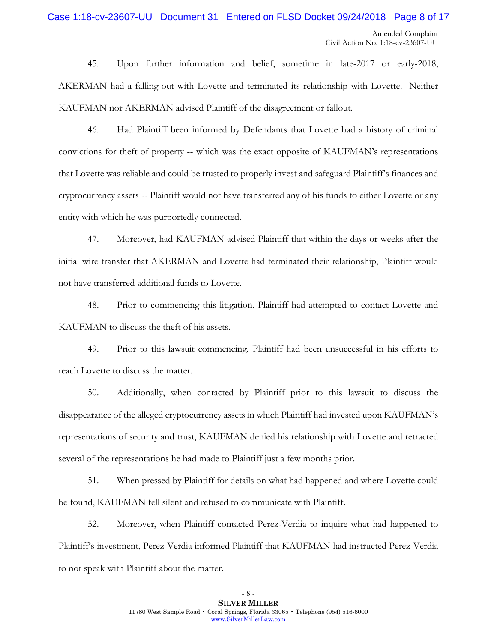# Case 1:18-cv-23607-UU Document 31 Entered on FLSD Docket 09/24/2018 Page 8 of 17

45. Upon further information and belief, sometime in late-2017 or early-2018, AKERMAN had a falling-out with Lovette and terminated its relationship with Lovette. Neither KAUFMAN nor AKERMAN advised Plaintiff of the disagreement or fallout.

46. Had Plaintiff been informed by Defendants that Lovette had a history of criminal convictions for theft of property -- which was the exact opposite of KAUFMAN's representations that Lovette was reliable and could be trusted to properly invest and safeguard Plaintiff's finances and cryptocurrency assets -- Plaintiff would not have transferred any of his funds to either Lovette or any entity with which he was purportedly connected.

47. Moreover, had KAUFMAN advised Plaintiff that within the days or weeks after the initial wire transfer that AKERMAN and Lovette had terminated their relationship, Plaintiff would not have transferred additional funds to Lovette.

48. Prior to commencing this litigation, Plaintiff had attempted to contact Lovette and KAUFMAN to discuss the theft of his assets.

49. Prior to this lawsuit commencing, Plaintiff had been unsuccessful in his efforts to reach Lovette to discuss the matter.

50. Additionally, when contacted by Plaintiff prior to this lawsuit to discuss the disappearance of the alleged cryptocurrency assets in which Plaintiff had invested upon KAUFMAN's representations of security and trust, KAUFMAN denied his relationship with Lovette and retracted several of the representations he had made to Plaintiff just a few months prior.

51. When pressed by Plaintiff for details on what had happened and where Lovette could be found, KAUFMAN fell silent and refused to communicate with Plaintiff.

52. Moreover, when Plaintiff contacted Perez-Verdia to inquire what had happened to Plaintiff's investment, Perez-Verdia informed Plaintiff that KAUFMAN had instructed Perez-Verdia to not speak with Plaintiff about the matter.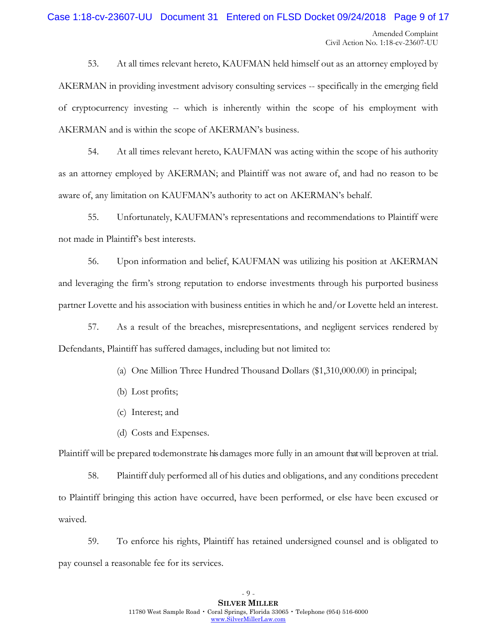# Case 1:18-cv-23607-UU Document 31 Entered on FLSD Docket 09/24/2018 Page 9 of 17

53. At all times relevant hereto, KAUFMAN held himself out as an attorney employed by AKERMAN in providing investment advisory consulting services -- specifically in the emerging field of cryptocurrency investing -- which is inherently within the scope of his employment with AKERMAN and is within the scope of AKERMAN's business.

54. At all times relevant hereto, KAUFMAN was acting within the scope of his authority as an attorney employed by AKERMAN; and Plaintiff was not aware of, and had no reason to be aware of, any limitation on KAUFMAN's authority to act on AKERMAN's behalf.

55. Unfortunately, KAUFMAN's representations and recommendations to Plaintiff were not made in Plaintiff's best interests.

56. Upon information and belief, KAUFMAN was utilizing his position at AKERMAN and leveraging the firm's strong reputation to endorse investments through his purported business partner Lovette and his association with business entities in which he and/or Lovette held an interest.

57. As a result of the breaches, misrepresentations, and negligent services rendered by Defendants, Plaintiff has suffered damages, including but not limited to:

- (a) One Million Three Hundred Thousand Dollars (\$1,310,000.00) in principal;
- (b) Lost profits;
- (c) Interest; and
- (d) Costs and Expenses.

Plaintiff will be prepared to demonstrate his damages more fully in an amount thatwill be proven at trial.

58. Plaintiff duly performed all of his duties and obligations, and any conditions precedent to Plaintiff bringing this action have occurred, have been performed, or else have been excused or waived.

59. To enforce his rights, Plaintiff has retained undersigned counsel and is obligated to pay counsel a reasonable fee for its services.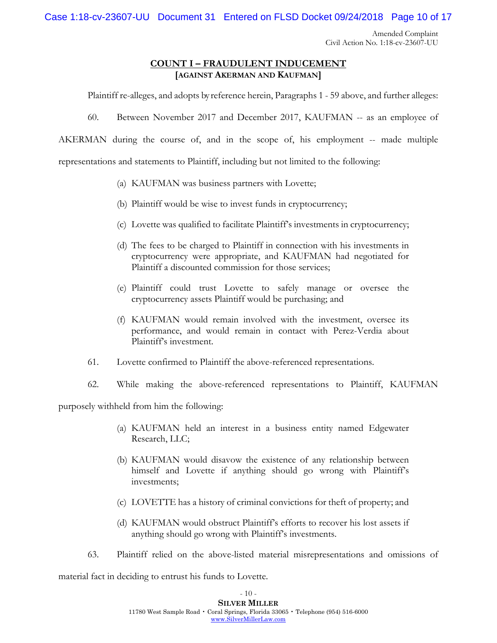Case 1:18-cv-23607-UU Document 31 Entered on FLSD Docket 09/24/2018 Page 10 of 17

Amended Complaint Civil Action No. 1:18-cv-23607-UU

### **COUNT I – FRAUDULENT INDUCEMENT [AGAINST AKERMAN AND KAUFMAN]**

Plaintiff re-alleges, and adopts by reference herein, Paragraphs 1 - 59 above, and further alleges:

60. Between November 2017 and December 2017, KAUFMAN -- as an employee of

AKERMAN during the course of, and in the scope of, his employment -- made multiple

representations and statements to Plaintiff, including but not limited to the following:

- (a) KAUFMAN was business partners with Lovette;
- (b) Plaintiff would be wise to invest funds in cryptocurrency;
- (c) Lovette was qualified to facilitate Plaintiff's investments in cryptocurrency;
- (d) The fees to be charged to Plaintiff in connection with his investments in cryptocurrency were appropriate, and KAUFMAN had negotiated for Plaintiff a discounted commission for those services;
- (e) Plaintiff could trust Lovette to safely manage or oversee the cryptocurrency assets Plaintiff would be purchasing; and
- (f) KAUFMAN would remain involved with the investment, oversee its performance, and would remain in contact with Perez-Verdia about Plaintiff's investment.
- 61. Lovette confirmed to Plaintiff the above-referenced representations.
- 62. While making the above-referenced representations to Plaintiff, KAUFMAN

purposely withheld from him the following:

- (a) KAUFMAN held an interest in a business entity named Edgewater Research, LLC;
- (b) KAUFMAN would disavow the existence of any relationship between himself and Lovette if anything should go wrong with Plaintiff's investments;
- (c) LOVETTE has a history of criminal convictions for theft of property; and
- (d) KAUFMAN would obstruct Plaintiff's efforts to recover his lost assets if anything should go wrong with Plaintiff's investments.
- 63. Plaintiff relied on the above-listed material misrepresentations and omissions of

material fact in deciding to entrust his funds to Lovette.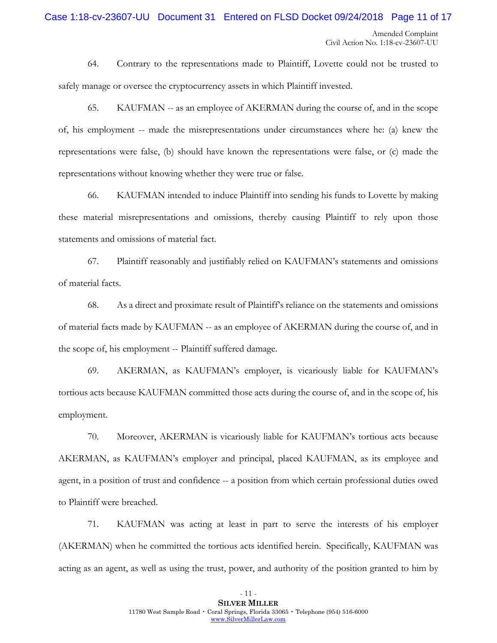### Case 1:18-cv-23607-UU Document 31 Entered on FLSD Docket 09/24/2018 Page 11 of 17

64. Contrary to the representations made to Plaintiff, Lovette could not be trusted to safely manage or oversee the cryptocurrency assets in which Plaintiff invested.

65. KAUFMAN -- as an employee of AKERMAN during the course of, and in the scope of, his employment -- made the misrepresentations under circumstances where he: (a) knew the representations were false, (b) should have known the representations were false, or (c) made the representations without knowing whether they were true or false.

66. KAUFMAN intended to induce Plaintiff into sending his funds to Lovette by making these material misrepresentations and omissions, thereby causing Plaintiff to rely upon those statements and omissions of material fact.

67. Plaintiff reasonably and justifiably relied on KAUFMAN's statements and omissions of material facts.

68. As a direct and proximate result of Plaintiff's reliance on the statements and omissions of material facts made by KAUFMAN -- as an employee of AKERMAN during the course of, and in the scope of, his employment -- Plaintiff suffered damage.

69. AKERMAN, as KAUFMAN's employer, is vicariously liable for KAUFMAN's tortious acts because KAUFMAN committed those acts during the course of, and in the scope of, his employment.

70. Moreover, AKERMAN is vicariously liable for KAUFMAN's tortious acts because AKERMAN, as KAUFMAN's employer and principal, placed KAUFMAN, as its employee and agent, in a position of trust and confidence -- a position from which certain professional duties owed to Plaintiff were breached.

71. KAUFMAN was acting at least in part to serve the interests of his employer (AKERMAN) when he committed the tortious acts identified herein. Specifically, KAUFMAN was acting as an agent, as well as using the trust, power, and authority of the position granted to him by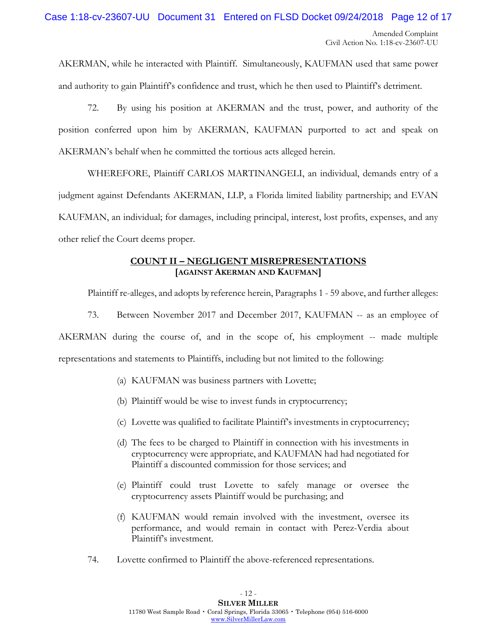Case 1:18-cv-23607-UU Document 31 Entered on FLSD Docket 09/24/2018 Page 12 of 17

AKERMAN, while he interacted with Plaintiff. Simultaneously, KAUFMAN used that same power and authority to gain Plaintiff's confidence and trust, which he then used to Plaintiff's detriment.

72. By using his position at AKERMAN and the trust, power, and authority of the position conferred upon him by AKERMAN, KAUFMAN purported to act and speak on AKERMAN's behalf when he committed the tortious acts alleged herein.

WHEREFORE, Plaintiff CARLOS MARTINANGELI, an individual, demands entry of a judgment against Defendants AKERMAN, LLP, a Florida limited liability partnership; and EVAN KAUFMAN, an individual; for damages, including principal, interest, lost profits, expenses, and any other relief the Court deems proper.

## **COUNT II – NEGLIGENT MISREPRESENTATIONS [AGAINST AKERMAN AND KAUFMAN]**

Plaintiff re-alleges, and adopts by reference herein, Paragraphs 1 - 59 above, and further alleges:

73. Between November 2017 and December 2017, KAUFMAN -- as an employee of AKERMAN during the course of, and in the scope of, his employment -- made multiple

representations and statements to Plaintiffs, including but not limited to the following:

- (a) KAUFMAN was business partners with Lovette;
- (b) Plaintiff would be wise to invest funds in cryptocurrency;
- (c) Lovette was qualified to facilitate Plaintiff's investments in cryptocurrency;
- (d) The fees to be charged to Plaintiff in connection with his investments in cryptocurrency were appropriate, and KAUFMAN had had negotiated for Plaintiff a discounted commission for those services; and
- (e) Plaintiff could trust Lovette to safely manage or oversee the cryptocurrency assets Plaintiff would be purchasing; and
- (f) KAUFMAN would remain involved with the investment, oversee its performance, and would remain in contact with Perez-Verdia about Plaintiff's investment.
- 74. Lovette confirmed to Plaintiff the above-referenced representations.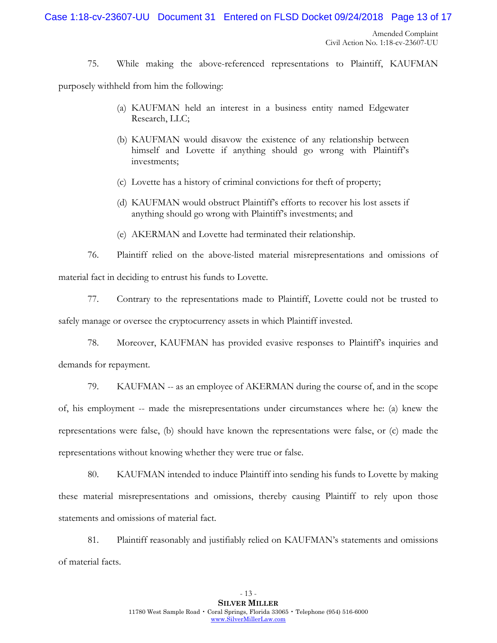Case 1:18-cv-23607-UU Document 31 Entered on FLSD Docket 09/24/2018 Page 13 of 17

Amended Complaint Civil Action No. 1:18-cv-23607-UU

75. While making the above-referenced representations to Plaintiff, KAUFMAN

purposely withheld from him the following:

- (a) KAUFMAN held an interest in a business entity named Edgewater Research, LLC;
- (b) KAUFMAN would disavow the existence of any relationship between himself and Lovette if anything should go wrong with Plaintiff's investments;
- (c) Lovette has a history of criminal convictions for theft of property;
- (d) KAUFMAN would obstruct Plaintiff's efforts to recover his lost assets if anything should go wrong with Plaintiff's investments; and
- (e) AKERMAN and Lovette had terminated their relationship.

76. Plaintiff relied on the above-listed material misrepresentations and omissions of material fact in deciding to entrust his funds to Lovette.

77. Contrary to the representations made to Plaintiff, Lovette could not be trusted to safely manage or oversee the cryptocurrency assets in which Plaintiff invested.

78. Moreover, KAUFMAN has provided evasive responses to Plaintiff's inquiries and demands for repayment.

79. KAUFMAN -- as an employee of AKERMAN during the course of, and in the scope of, his employment -- made the misrepresentations under circumstances where he: (a) knew the representations were false, (b) should have known the representations were false, or (c) made the representations without knowing whether they were true or false.

80. KAUFMAN intended to induce Plaintiff into sending his funds to Lovette by making these material misrepresentations and omissions, thereby causing Plaintiff to rely upon those statements and omissions of material fact.

81. Plaintiff reasonably and justifiably relied on KAUFMAN's statements and omissions of material facts.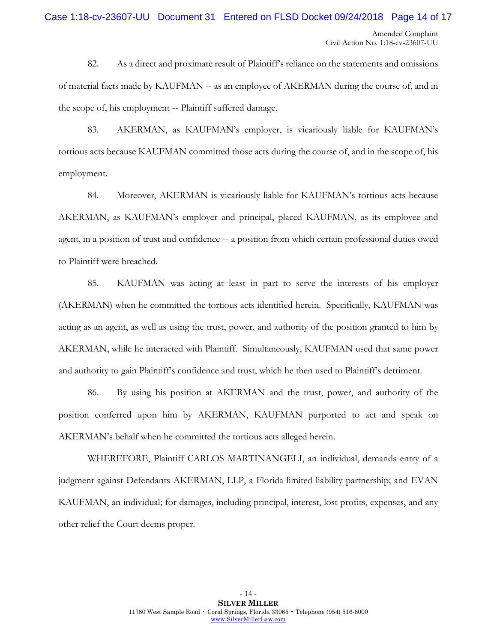# Case 1:18-cv-23607-UU Document 31 Entered on FLSD Docket 09/24/2018 Page 14 of 17

82. As a direct and proximate result of Plaintiff's reliance on the statements and omissions of material facts made by KAUFMAN -- as an employee of AKERMAN during the course of, and in the scope of, his employment -- Plaintiff suffered damage.

83. AKERMAN, as KAUFMAN's employer, is vicariously liable for KAUFMAN's tortious acts because KAUFMAN committed those acts during the course of, and in the scope of, his employment.

84. Moreover, AKERMAN is vicariously liable for KAUFMAN's tortious acts because AKERMAN, as KAUFMAN's employer and principal, placed KAUFMAN, as its employee and agent, in a position of trust and confidence -- a position from which certain professional duties owed to Plaintiff were breached.

85. KAUFMAN was acting at least in part to serve the interests of his employer (AKERMAN) when he committed the tortious acts identified herein. Specifically, KAUFMAN was acting as an agent, as well as using the trust, power, and authority of the position granted to him by AKERMAN, while he interacted with Plaintiff. Simultaneously, KAUFMAN used that same power and authority to gain Plaintiff's confidence and trust, which he then used to Plaintiff's detriment.

86. By using his position at AKERMAN and the trust, power, and authority of the position conferred upon him by AKERMAN, KAUFMAN purported to act and speak on AKERMAN's behalf when he committed the tortious acts alleged herein.

WHEREFORE, Plaintiff CARLOS MARTINANGELI, an individual, demands entry of a judgment against Defendants AKERMAN, LLP, a Florida limited liability partnership; and EVAN KAUFMAN, an individual; for damages, including principal, interest, lost profits, expenses, and any other relief the Court deems proper.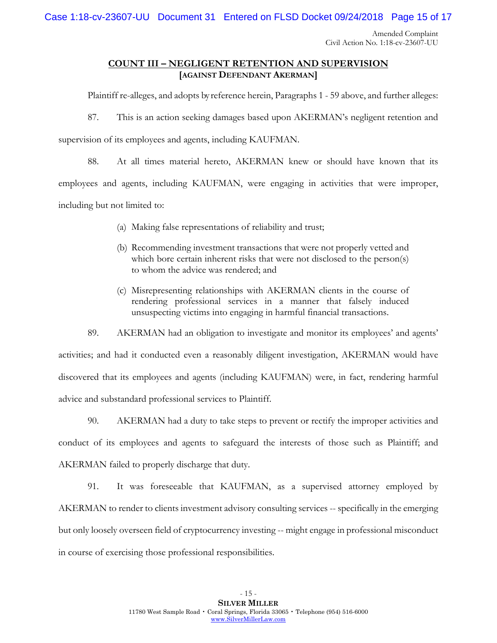Case 1:18-cv-23607-UU Document 31 Entered on FLSD Docket 09/24/2018 Page 15 of 17

Amended Complaint Civil Action No. 1:18-cv-23607-UU

### **COUNT III – NEGLIGENT RETENTION AND SUPERVISION [AGAINST DEFENDANT AKERMAN]**

Plaintiff re-alleges, and adopts by reference herein, Paragraphs 1 - 59 above, and further alleges:

87. This is an action seeking damages based upon AKERMAN's negligent retention and

supervision of its employees and agents, including KAUFMAN.

88. At all times material hereto, AKERMAN knew or should have known that its employees and agents, including KAUFMAN, were engaging in activities that were improper, including but not limited to:

- (a) Making false representations of reliability and trust;
- (b) Recommending investment transactions that were not properly vetted and which bore certain inherent risks that were not disclosed to the person(s) to whom the advice was rendered; and
- (c) Misrepresenting relationships with AKERMAN clients in the course of rendering professional services in a manner that falsely induced unsuspecting victims into engaging in harmful financial transactions.

89. AKERMAN had an obligation to investigate and monitor its employees' and agents' activities; and had it conducted even a reasonably diligent investigation, AKERMAN would have discovered that its employees and agents (including KAUFMAN) were, in fact, rendering harmful advice and substandard professional services to Plaintiff.

90. AKERMAN had a duty to take steps to prevent or rectify the improper activities and conduct of its employees and agents to safeguard the interests of those such as Plaintiff; and AKERMAN failed to properly discharge that duty.

91. It was foreseeable that KAUFMAN, as a supervised attorney employed by AKERMAN to render to clients investment advisory consulting services -- specifically in the emerging but only loosely overseen field of cryptocurrency investing -- might engage in professional misconduct in course of exercising those professional responsibilities.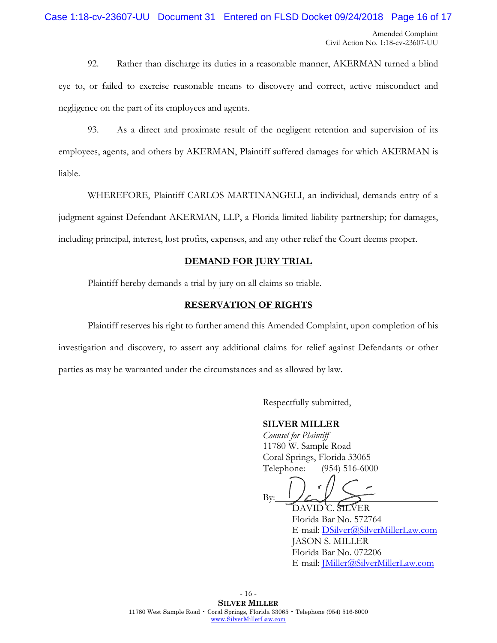# Case 1:18-cv-23607-UU Document 31 Entered on FLSD Docket 09/24/2018 Page 16 of 17

92. Rather than discharge its duties in a reasonable manner, AKERMAN turned a blind eye to, or failed to exercise reasonable means to discovery and correct, active misconduct and negligence on the part of its employees and agents.

93. As a direct and proximate result of the negligent retention and supervision of its employees, agents, and others by AKERMAN, Plaintiff suffered damages for which AKERMAN is liable.

WHEREFORE, Plaintiff CARLOS MARTINANGELI, an individual, demands entry of a judgment against Defendant AKERMAN, LLP, a Florida limited liability partnership; for damages, including principal, interest, lost profits, expenses, and any other relief the Court deems proper.

### **DEMAND FOR JURY TRIAL**

Plaintiff hereby demands a trial by jury on all claims so triable.

### **RESERVATION OF RIGHTS**

Plaintiff reserves his right to further amend this Amended Complaint, upon completion of his investigation and discovery, to assert any additional claims for relief against Defendants or other parties as may be warranted under the circumstances and as allowed by law.

Respectfully submitted,

### **SILVER MILLER**

*Counsel for Plaintiff* 11780 W. Sample Road Coral Springs, Florida 33065 Telephone: (954) 516-6000

By:

DAVID C. SILVER Florida Bar No. 572764 E-mail: [DSilver@SilverMillerLaw.com](mailto:DSilver@SilverMillerLaw.com) JASON S. MILLER Florida Bar No. 072206 E-mail: [JMiller@SilverMillerLaw.com](mailto:JMiller@SilverMillerLaw.com)

- 16 - **SILVER MILLER** 11780 West Sample Road • Coral Springs, Florida 33065 • Telephone (954) 516-6000 [www.SilverMillerLaw.com](http://www.silvermillerlaw.com/)